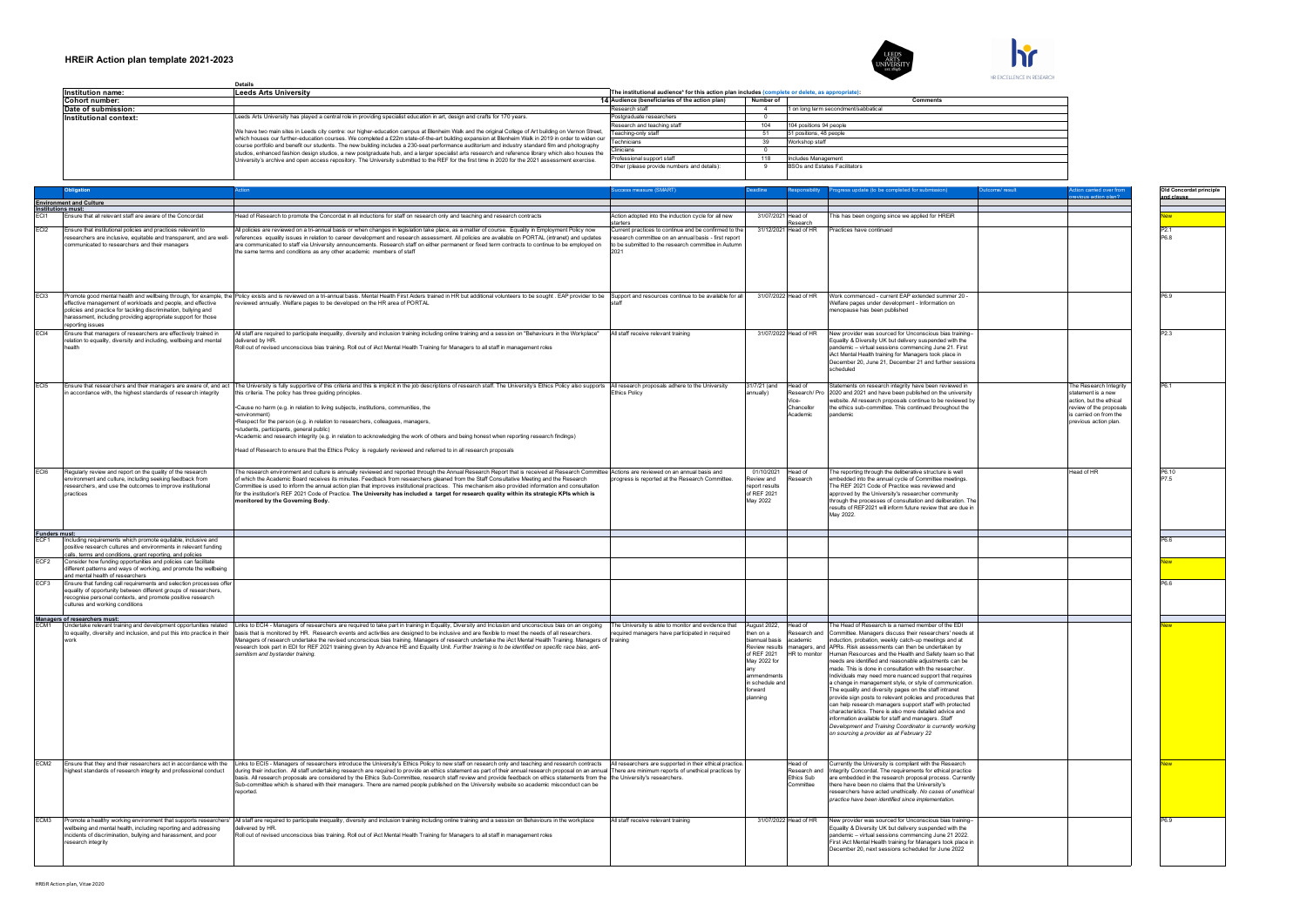

|                          | Details                                                                                                                                                                                                                                                                                                 |                                                                                                 |           |                                      |
|--------------------------|---------------------------------------------------------------------------------------------------------------------------------------------------------------------------------------------------------------------------------------------------------------------------------------------------------|-------------------------------------------------------------------------------------------------|-----------|--------------------------------------|
| <b>Institution name:</b> | <b>Leeds Arts University</b>                                                                                                                                                                                                                                                                            | The institutional audience* for this action plan includes (complete or delete, as appropriate): |           |                                      |
| Cohort number:           |                                                                                                                                                                                                                                                                                                         | 14 Audience (beneficiaries of the action plan)                                                  | Number of | <b>Comments</b>                      |
| Date of submission:      |                                                                                                                                                                                                                                                                                                         | Research staff                                                                                  |           | 1 on long term secondment/sabbatical |
| Institutional context:   | Leeds Arts University has played a central role in providing specialist education in art, design and crafts for 170 years.                                                                                                                                                                              | Postgraduate researchers                                                                        |           |                                      |
|                          | We have two main sites in Leeds city centre: our higher-education campus at Blenheim Walk and the original College of Art building on Vernon Street.                                                                                                                                                    | Research and teaching staff                                                                     | 104       | 104 positions 94 people              |
|                          |                                                                                                                                                                                                                                                                                                         | Teaching-only staff                                                                             | 51        | 51 positions, 48 people              |
|                          | which houses our further-education courses. We completed a £22m state-of-the-art building expansion at Blenheim Walk in 2019 in order to widen our<br>course portfolio and benefit our students. The new building includes a 230-seat performance auditorium and industry standard film and photography | Technicians                                                                                     | 39        | Workshop staff                       |
|                          | studios, enhanced fashion design studios, a new postgraduate hub, and a larger specialist arts research and reference library which also houses the                                                                                                                                                     | Clinicians                                                                                      |           |                                      |
|                          | University's archive and open access repository. The University submitted to the REF for the first time in 2020 for the 2021 assessment exercise.                                                                                                                                                       | Professional support staff                                                                      | 118       | Includes Management                  |
|                          |                                                                                                                                                                                                                                                                                                         | Other (please provide numbers and details):                                                     |           | BSOs and Estates Facilitators        |
|                          |                                                                                                                                                                                                                                                                                                         |                                                                                                 |           |                                      |

|                                |                                                                                                                                                                                                                                          |                                                                                                                                                                                                                                                                                                                                                                                                                                                                                                                                                                                                                                                                                                                                                                                  |                                                                                                                                                                      |                                                                                                                                      |                                                             |                                                                                                                                                                                                                                                                                                                                                                                                                                                                                                                                                                                                                                                                                                                                                                                                                                                                                                        |                                                                                                                                                     | Old Concordat principle  |
|--------------------------------|------------------------------------------------------------------------------------------------------------------------------------------------------------------------------------------------------------------------------------------|----------------------------------------------------------------------------------------------------------------------------------------------------------------------------------------------------------------------------------------------------------------------------------------------------------------------------------------------------------------------------------------------------------------------------------------------------------------------------------------------------------------------------------------------------------------------------------------------------------------------------------------------------------------------------------------------------------------------------------------------------------------------------------|----------------------------------------------------------------------------------------------------------------------------------------------------------------------|--------------------------------------------------------------------------------------------------------------------------------------|-------------------------------------------------------------|--------------------------------------------------------------------------------------------------------------------------------------------------------------------------------------------------------------------------------------------------------------------------------------------------------------------------------------------------------------------------------------------------------------------------------------------------------------------------------------------------------------------------------------------------------------------------------------------------------------------------------------------------------------------------------------------------------------------------------------------------------------------------------------------------------------------------------------------------------------------------------------------------------|-----------------------------------------------------------------------------------------------------------------------------------------------------|--------------------------|
|                                | <b>Environment and Culture</b>                                                                                                                                                                                                           |                                                                                                                                                                                                                                                                                                                                                                                                                                                                                                                                                                                                                                                                                                                                                                                  |                                                                                                                                                                      |                                                                                                                                      |                                                             |                                                                                                                                                                                                                                                                                                                                                                                                                                                                                                                                                                                                                                                                                                                                                                                                                                                                                                        |                                                                                                                                                     | and clause               |
|                                | Institutions must:                                                                                                                                                                                                                       |                                                                                                                                                                                                                                                                                                                                                                                                                                                                                                                                                                                                                                                                                                                                                                                  |                                                                                                                                                                      |                                                                                                                                      |                                                             |                                                                                                                                                                                                                                                                                                                                                                                                                                                                                                                                                                                                                                                                                                                                                                                                                                                                                                        |                                                                                                                                                     |                          |
| <b>FCI</b>                     | Ensure that all relevant staff are aware of the Concordat                                                                                                                                                                                | lead of Research to promote the Concordat in all inductions for staff on research only and teaching and research contracts                                                                                                                                                                                                                                                                                                                                                                                                                                                                                                                                                                                                                                                       | Action adopted into the induction cycle for all new<br>tarters                                                                                                       |                                                                                                                                      | 31/07/2021 Head of<br>esearch                               | his has been ongoing since we applied for HREIR                                                                                                                                                                                                                                                                                                                                                                                                                                                                                                                                                                                                                                                                                                                                                                                                                                                        |                                                                                                                                                     |                          |
| ECI2                           | Ensure that institutional policies and practices relevant to<br>researchers are inclusive, equitable and transparent, and are well-<br>ommunicated to researchers and their managers                                                     | All policies are reviewed on a tri-annual basis or when changes in legislation take place, as a matter of course. Equality in Employment Policy now<br>references, equality issues in relation to career development and research assessment. All policies are available on PORTAL (intranet) and undates<br>are communicated to staff via University announcements. Research staff on either permanent or fixed term contracts to continue to be employed on<br>the same terms and conditions as any other academic members of staff                                                                                                                                                                                                                                            | Current practices to continue and be confirmed to the<br>research committee on an annual basis - first renort<br>to be submitted to the research committee in Autumn |                                                                                                                                      | 31/12/2021 Head of HR                                       | Practices have continued                                                                                                                                                                                                                                                                                                                                                                                                                                                                                                                                                                                                                                                                                                                                                                                                                                                                               |                                                                                                                                                     | P <sub>2.1</sub><br>R ag |
| EC <sub>13</sub>               | effective management of workloads and people, and effective<br>policies and practice for tackling discrimination, bullying and<br>harassment, including providing appropriate support for those<br>reporting issues                      | Promote good mental health and wellbeing through, for example, the Policy exists and is reviewed on a tri-annual basis. Mental Health First Aiders trained in HR but additional volunteers to be sought . EAP provider to be S<br>eviewed annually. Welfare pages to be developed on the HR area of PORTAL                                                                                                                                                                                                                                                                                                                                                                                                                                                                       |                                                                                                                                                                      |                                                                                                                                      | 31/07/2022 Head of HR                                       | Work commenced - current EAP extended summer 20 -<br>Welfare pages under development - Information on<br>nenopause has been published                                                                                                                                                                                                                                                                                                                                                                                                                                                                                                                                                                                                                                                                                                                                                                  |                                                                                                                                                     | P6.9                     |
| FC <sub>14</sub>               | Ensure that managers of researchers are effectively trained in<br>relation to equality, diversity and including, wellbeing and mental<br>hoalth                                                                                          | All staff are required to participate inequality, diversity and inclusion training including online training and a session on "Behaviours in the Workplace"<br>delivered by HR.<br>Roll out of revised unconscious bias training. Roll out of iAct Mental Health Training for Managers to all staff in management roles                                                                                                                                                                                                                                                                                                                                                                                                                                                          | All staff receive relevant training                                                                                                                                  |                                                                                                                                      | 31/07/2022 Head of HR                                       | New provider was sourced for Unconscious bias training-<br>Equality & Diversity UK but delivery suspended with the<br>pandemic - virtual sessions commencing June 21. First<br>iAct Mental Health training for Managers took place in<br>December 20, June 21, December 21 and further sessions<br>cheduled                                                                                                                                                                                                                                                                                                                                                                                                                                                                                                                                                                                            |                                                                                                                                                     | P23                      |
| FCI5                           | Ensure that researchers and their managers are aware of, and act<br>in accordance with, the highest standards of research integrity                                                                                                      | The University is fully supportive of this criteria and this is implicit in the job descriptions of research staff. The University's Ethics Policy also supports All research proposals adhere to the University<br>this criteria. The policy has three quiding principles<br>*Cause no harm (e.g. in relation to living subjects, institutions, communities, the<br>·environment)<br>Respect for the person (e.g. in relation to researchers, colleagues, managers,<br>students, participants, general public)<br>Academic and research integrity (e.g. in relation to acknowledging the work of others and being honest when reporting research findings)<br>lead of Research to ensure that the Ethics Policy is regularly reviewed and referred to in all research proposals | <b>Ethics Policy</b>                                                                                                                                                 | 31/7/21 (and<br>nually)                                                                                                              | Head of<br>Research/Pro<br>Chancellor<br>Academic           | Statements on research integrity have been reviewed in<br>2020 and 2021 and have been published on the university<br>vebsite. All research proposals continue to be reviewed by<br>the ethics sub-committee. This continued throughout the<br>pandemic                                                                                                                                                                                                                                                                                                                                                                                                                                                                                                                                                                                                                                                 | The Research Integrity<br>statement is a new<br>action, but the ethical<br>review of the proposals<br>s carried on from the<br>previous action plan | P6 1                     |
| EC <sub>I</sub> 6              | Regularly review and report on the quality of the research<br>environment and culture, including seeking feedback from<br>researchers, and use the outcomes to improve institutional<br>practices                                        | The research environment and culture is annually reviewed and reported through the Annual Research Report that is received at Research Committee Actions are reviewed on an annual basis and<br>of which the Academic Board receives its minutes. Feedback from researchers gleaned from the Staff Consultative Meeting and the Research<br>Committee is used to inform the annual action plan that improves institutional practices. This mechanism also provided information and consultation<br>for the institution's REF 2021 Code of Practice. The University has included a target for research quality within its strategic KPIs which is<br>onitored by the Governing Body.                                                                                              | progress is reported at the Research Committee.                                                                                                                      | 01/10/2021<br>Review and<br>report results<br>of REF 2021<br>May 2022                                                                | Head of<br>Research                                         | The reporting through the deliberative structure is well<br>embedded into the annual cycle of Committee meetings.<br>The REF 2021 Code of Practice was reviewed and<br>approved by the University's researcher community<br>through the processes of consultation and deliberation. The<br>results of REF2021 will inform future review that are due in<br>May 2022.                                                                                                                                                                                                                                                                                                                                                                                                                                                                                                                                   | Head of HR                                                                                                                                          | P6 10<br>P7.5            |
| Funders must:<br>ECF1   Includ |                                                                                                                                                                                                                                          |                                                                                                                                                                                                                                                                                                                                                                                                                                                                                                                                                                                                                                                                                                                                                                                  |                                                                                                                                                                      |                                                                                                                                      |                                                             |                                                                                                                                                                                                                                                                                                                                                                                                                                                                                                                                                                                                                                                                                                                                                                                                                                                                                                        |                                                                                                                                                     |                          |
|                                | Including requirements which promote equitable, inclusive and<br>positive research cultures and environments in relevant funding<br>calls, terms and conditions, grant reporting, and policies                                           |                                                                                                                                                                                                                                                                                                                                                                                                                                                                                                                                                                                                                                                                                                                                                                                  |                                                                                                                                                                      |                                                                                                                                      |                                                             |                                                                                                                                                                                                                                                                                                                                                                                                                                                                                                                                                                                                                                                                                                                                                                                                                                                                                                        |                                                                                                                                                     |                          |
| FCF2                           | Consider how funding opportunities and policies can facilitate<br>different patterns and ways of working, and promote the wellbeing<br>and mental health of researchers                                                                  |                                                                                                                                                                                                                                                                                                                                                                                                                                                                                                                                                                                                                                                                                                                                                                                  |                                                                                                                                                                      |                                                                                                                                      |                                                             |                                                                                                                                                                                                                                                                                                                                                                                                                                                                                                                                                                                                                                                                                                                                                                                                                                                                                                        |                                                                                                                                                     |                          |
| FCF3                           | Ensure that funding call requirements and selection processes offer<br>equality of opportunity between different groups of researchers,<br>recognise personal contexts, and promote positive research<br>cultures and working conditions |                                                                                                                                                                                                                                                                                                                                                                                                                                                                                                                                                                                                                                                                                                                                                                                  |                                                                                                                                                                      |                                                                                                                                      |                                                             |                                                                                                                                                                                                                                                                                                                                                                                                                                                                                                                                                                                                                                                                                                                                                                                                                                                                                                        |                                                                                                                                                     |                          |
|                                | Managers of researchers must:                                                                                                                                                                                                            |                                                                                                                                                                                                                                                                                                                                                                                                                                                                                                                                                                                                                                                                                                                                                                                  |                                                                                                                                                                      | August 2022,                                                                                                                         |                                                             | he Head of Research is a named member of the EDI                                                                                                                                                                                                                                                                                                                                                                                                                                                                                                                                                                                                                                                                                                                                                                                                                                                       |                                                                                                                                                     |                          |
|                                | Undertake relevant training and development opportunities related<br>to equality, diversity and inclusion, and put this into practice in their<br>work                                                                                   | inks to ECI4 - Managers of researchers are required to take part in training in Equality, Diversity and Inclusion and unconscious bias on an ongoing<br>basis that is monitored by HR. Research events and activities are designed to be inclusive and are flexible to meet the needs of all researchers.<br>Managers of research undertake the revised unconscious bias training. Managers of research undertake the iAct Mental Health Training. Managers of<br>research took part in EDI for REF 2021 training given by Advance HE and Equality Unit. Further training is to be identified on specific race bias, anti-<br>emitism and bystander training.                                                                                                                    | The University is able to monitor and evidence that<br>required managers have participated in required<br>training                                                   | then on a<br>biannual basis<br>Review results<br>of REF 2021<br>May 2022 for<br>ammendment<br>in schedule and<br>forward<br>planning | Head of<br>Research and<br>academic<br><b>HR</b> to monitor | Committee. Managers discuss their researchers' needs at<br>induction, probation, weekly catch-up meetings and at<br>managers, and APRs. Risk assessments can then be undertaken by<br>Human Resources and the Health and Safety team so that<br>eeds are identified and reasonable adiustments can be<br>made. This is done in consultation with the researcher.<br>Individuals may need more nuanced support that requires<br>a change in management style, or style of communication.<br>The equality and diversity pages on the staff intranet<br>provide sign posts to relevant policies and procedures that<br>can help research managers support staff with protected<br>characteristics. There is also more detailed advice and<br>information available for staff and managers. Staff<br>Development and Training Coordinator is currently working<br>on sourcing a provider as at February 22 |                                                                                                                                                     |                          |
| ECM <sub>2</sub>               | Ensure that they and their researchers act in accordance with the<br>highest standards of research integrity and professional conduct                                                                                                    | Links to ECI5 - Managers of researchers introduce the University's Ethics Policy to new staff on research only and teaching and research contracts All researchers are supported in their ethical practice.<br>during their induction. All staff undertaking research are required to provide an ethics statement as part of their annual research proposal on an annual There are minimum reports of unethical practices by                                                                                                                                                                                                                                                                                                                                                     |                                                                                                                                                                      |                                                                                                                                      | Head of<br>Research and                                     | Currently the University is compliant with the Research<br>Integrity Concordat. The requirements for ethical practice                                                                                                                                                                                                                                                                                                                                                                                                                                                                                                                                                                                                                                                                                                                                                                                  |                                                                                                                                                     |                          |
|                                |                                                                                                                                                                                                                                          | basis. All research proposals are considered by the Ethics Sub-Committee, research staff review and provide feedback on ethics statements from the the University's researchers<br>Sub-committee which is shared with their managers. There are named people published on the University website so academic misconduct can be<br>reported.                                                                                                                                                                                                                                                                                                                                                                                                                                      |                                                                                                                                                                      |                                                                                                                                      | Ethics Sub<br>Committee                                     | are embedded in the research proposal process. Currently<br>there have been no claims that the University's<br>researchers have acted unethically. No cases of unethical<br>oractice have been identified since implementation.                                                                                                                                                                                                                                                                                                                                                                                                                                                                                                                                                                                                                                                                        |                                                                                                                                                     |                          |
| ECM3                           | wellbeing and mental health, including reporting and addressing<br>incidents of discrimination, bullying and harassment, and poor<br>research integrity                                                                                  | Promote a healthy working environment that supports researchers'  All staff are required to participate inequality, diversity and inclusion training including online training and a session on Behaviours in the workplace<br>delivered by HR.<br>Roll out of revised unconscious bias training. Roll out of iAct Mental Health Training for Managers to all staff in management roles                                                                                                                                                                                                                                                                                                                                                                                          | All staff receive relevant training                                                                                                                                  |                                                                                                                                      | 31/07/2022 Head of HR                                       | New provider was sourced for Unconscious bias training-<br>Equality & Diversity UK but delivery suspended with the<br>andemic - virtual sessions commencing June 21 2022.<br>First iAct Mental Health training for Managers took place in<br>December 20, next sessions scheduled for June 2022                                                                                                                                                                                                                                                                                                                                                                                                                                                                                                                                                                                                        |                                                                                                                                                     | P6.9                     |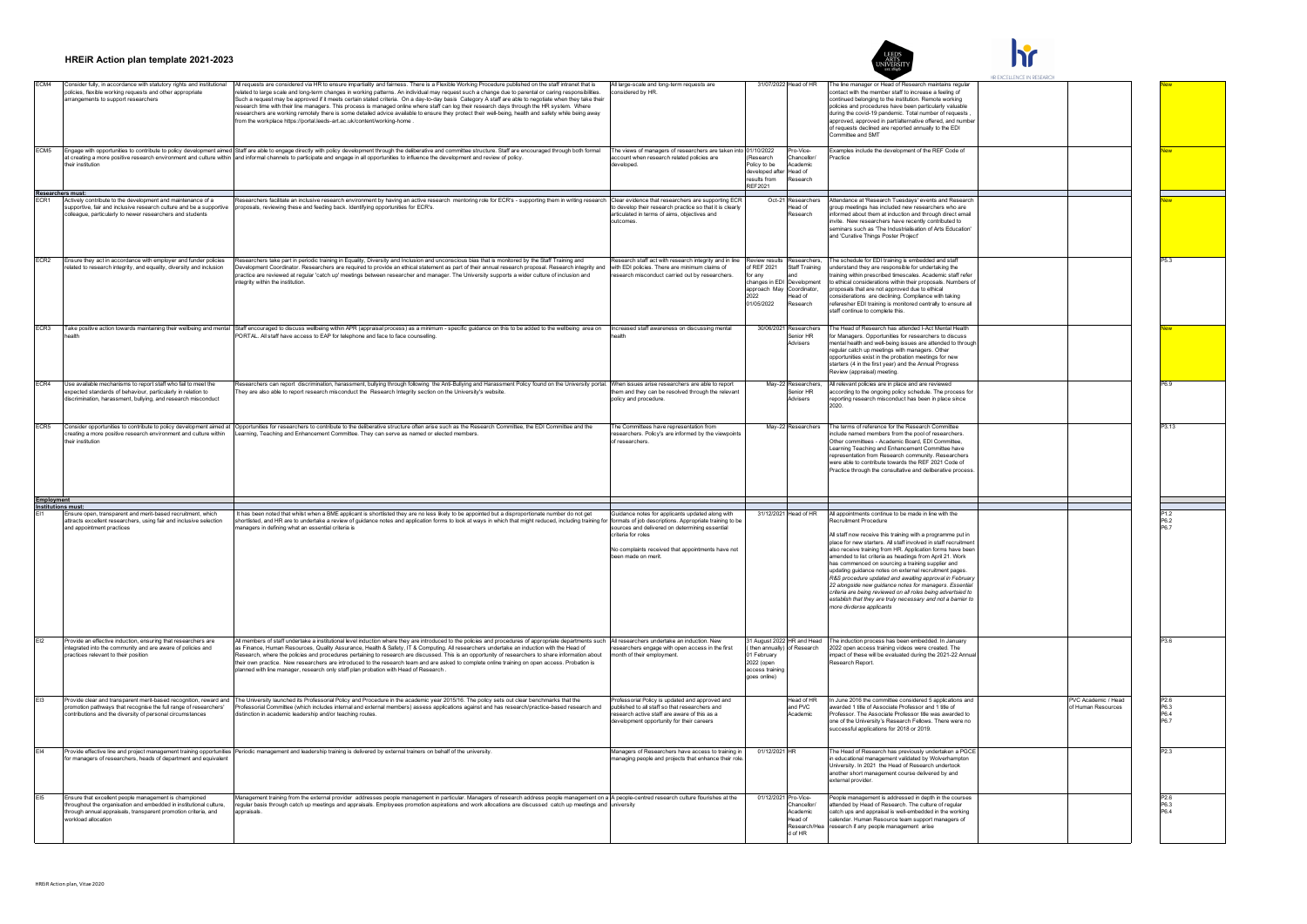

|                   | HREIR Action plan template 2021-2023                                                                                                                                                                                 |                                                                                                                                                                                                                                                                                                                                                                                                                                                                                                                                                                                                                                                                                                                                                                                                                                                          |                                                                                                                                                                                                |                                                                                                                          |                                                                   |                                                                                                                                                                                                                                                                                                                                                                                                                                                                                                                                                                                                                                                                               | HR EXCELLENCE IN RESEARC |                                          |                                                    |
|-------------------|----------------------------------------------------------------------------------------------------------------------------------------------------------------------------------------------------------------------|----------------------------------------------------------------------------------------------------------------------------------------------------------------------------------------------------------------------------------------------------------------------------------------------------------------------------------------------------------------------------------------------------------------------------------------------------------------------------------------------------------------------------------------------------------------------------------------------------------------------------------------------------------------------------------------------------------------------------------------------------------------------------------------------------------------------------------------------------------|------------------------------------------------------------------------------------------------------------------------------------------------------------------------------------------------|--------------------------------------------------------------------------------------------------------------------------|-------------------------------------------------------------------|-------------------------------------------------------------------------------------------------------------------------------------------------------------------------------------------------------------------------------------------------------------------------------------------------------------------------------------------------------------------------------------------------------------------------------------------------------------------------------------------------------------------------------------------------------------------------------------------------------------------------------------------------------------------------------|--------------------------|------------------------------------------|----------------------------------------------------|
| FCM4              | Consider fully, in accordance with statutory rights and institutional<br>olicies, flexible working requests and other appropriate<br>rrangements to support researchers                                              | All requests are considered via HR to ensure impartiality and fairness. There is a Flexible Working Procedure published on the staff intranet that is<br>.<br>Ilated to large scale and long-term changes in working patterns. An individual may request such a change due to parental or caring responsibiliti<br>Such a request may be approved if it meets certain stated criteria. On a day-to-day basis Category A staff are able to negotiate when they take thei<br>research time with their line managers. This process is managed online where staff can log their research days through the HR system. Where<br>esearchers are working remotely there is some detailed advice available to ensure they protect their well-being, health and safety while being away<br>from the workplace https://portal.leeds-art.ac.uk/content/working-home. | All large-scale and long-term requests are<br>sidered by HR                                                                                                                                    |                                                                                                                          | 31/07/2022 Head of HR                                             | The line manager or Head of Research maintains regula<br>ontact with the member staff to increase a feeling of<br>continued belonging to the institution. Remote working<br>policies and procedures have been particularly valuable<br>during the covid-19 pandemic. Total number of requests<br>approved, approved in part/alternative offered, and numbe<br>of requests declined are reported annually to the EDI<br>ommittee and SMT                                                                                                                                                                                                                                       |                          |                                          |                                                    |
| FCM <sub>5</sub>  | heir institution                                                                                                                                                                                                     | Engage with opportunities to contribute to policy development aimed Staff are able to engage directly with policy development through the deliberative and committee structure. Staff are encouraged through both formal<br>at creating a more positive research environment and culture within and informal channels to participate and engage in all opportunities to influence the development and review of policy.                                                                                                                                                                                                                                                                                                                                                                                                                                  | The views of managers of researchers are taken into 01/10/2022<br>ccount when research related policies are<br>developed.                                                                      | Research<br>Policy to be<br>developed after Head of<br>results from<br>REF2021                                           | Pro-Vice-<br>Chancellor/<br>Academic<br>tesearch                  | Examples include the development of the REF Code of<br>ractice                                                                                                                                                                                                                                                                                                                                                                                                                                                                                                                                                                                                                |                          |                                          |                                                    |
| FCR1              | Researchers must:<br>Actively contribute to the development and maintenance of a<br>supportive, fair and inclusive research culture and be a supportive<br>colleague, particularly to newer researchers and students | Researchers facilitate an inclusive research environment by having an active research mentoring role for ECR's - supporting them in writing research Clear evidence that researchers are supporting ECR<br>roposals, reviewing these and feeding back. Identifying opportunities for ECR's                                                                                                                                                                                                                                                                                                                                                                                                                                                                                                                                                               | to develop their research practice so that it is clearl<br>articulated in terms of aims, objectives and<br>autonmes                                                                            |                                                                                                                          | Oct-21 Researchers<br>ead of<br>esearch                           | Attendance at 'Research Tuesdays' events and Research<br>group meetings has included new researchers who are<br>informed about them at induction and through direct email<br>nvite. New researchers have recently contributed to<br>seminars such as 'The Industrialisation of Arts Education<br>and 'Curative Things Poster Project'                                                                                                                                                                                                                                                                                                                                         |                          |                                          |                                                    |
| ECR <sub>2</sub>  | Ensure they act in accordance with employer and funder policies<br>elated to research integrity, and equality, diversity and inclusion                                                                               | Researchers take part in periodic training in Equality, Diversity and Inclusion and unconscious bias that is monitored by the Staff Training and<br>Development Coordinator. Researchers are required to provide an ethical statement as part of their annual research proposal. Research integrity and<br>practice are reviewed at regular 'catch up' meetings between researcher and manager. The University supports a wider culture of inclusion and<br>tegrity within the institution                                                                                                                                                                                                                                                                                                                                                               | Research staff act with research integrity and in line<br>with EDI policies. There are minimum claims of<br>earch misconduct carried out by researchers.                                       | of REF 2021<br>for any<br>changes in EDI Development<br>approach May Coordinator.<br>2022<br>01/05/2022                  | riew results Researchers,<br>Staff Training<br>lead of<br>esearch | The schedule for EDI training is embedded and staff<br>inderstand they are responsible for undertaking the<br>aining within prescribed timescales. Academic staff refe<br>ethical considerations within their proposals. Numbers of<br>roposals that are not approved due to ethical<br>onsiderations are declining. Compliance with taking<br>eferesher EDI training is monitored centrally to ensure all<br>staff continue to complete this.                                                                                                                                                                                                                                |                          |                                          |                                                    |
| ECR <sub>3</sub>  |                                                                                                                                                                                                                      | Take positive action towards maintaining their wellbeing and mental Staff encouraged to discuss wellbeing within APR (appraisal process) as a minimum - specific guidance on this to be added to the wellbeing area on Increas<br>PORTAL. All staff have access to EAP for telephone and face to face counselling.                                                                                                                                                                                                                                                                                                                                                                                                                                                                                                                                       |                                                                                                                                                                                                |                                                                                                                          | 30/06/2021 Researchers<br>enior HR<br>Advisers                    | The Head of Research has attended I-Act Mental Health<br>for Managers. Opportunities for researchers to discuss<br>mental health and well-being issues are attended to throug<br>egular catch up meetings with managers. Other<br>opportunities exist in the probation meetings for new<br>starters (4 in the first year) and the Annual Progress<br>eview (appraisal) meeting.                                                                                                                                                                                                                                                                                               |                          |                                          |                                                    |
| ECR4              | Use available mechanisms to report staff who fail to meet the<br>xpected standards of behaviour, particularly in relation to<br>iscrimination, harassment, bullying, and research misconduct                         | Researchers can report discrimination, harassment, bullying through following the Anti-Bullying and Harassment Policy found on the University portal. When issues arise researchers are able to report<br>They are also able to report research misconduct the Research Integrity section on the University's website.                                                                                                                                                                                                                                                                                                                                                                                                                                                                                                                                   | them and they can be resolved through the relevant<br>policy and procedure.                                                                                                                    |                                                                                                                          | May-22 Researchers.<br>Senior HR<br>dvisers                       | All relevant policies are in place and are reviewed<br>ccording to the ongoing policy schedule. The process for<br>reporting research misconduct has been in place since                                                                                                                                                                                                                                                                                                                                                                                                                                                                                                      |                          |                                          |                                                    |
| ECR5              | creating a more positive research environment and culture within<br>their institution                                                                                                                                | Consider opportunities to contribute to policy development aimed at Opportunities for researchers to contribute to the deliberative structure often arise such as the Research Committee, the EDI Committee and the<br>Learning, Teaching and Enhancement Committee. They can serve as named or elected members                                                                                                                                                                                                                                                                                                                                                                                                                                                                                                                                          | The Committees have representation fron<br>researchers. Policy's are informed by the viewpoint<br>of researchers.                                                                              |                                                                                                                          | May-22 Researchers                                                | The terms of reference for the Research Committee<br>nclude named members from the pool of researchers.<br>Other committees - Academic Board, EDI Committee,<br>earning Teaching and Enhancement Committee have<br>representation from Research community. Researchers<br>were able to contribute towards the REF 2021 Code of<br>ractice through the consultative and deliberative proces                                                                                                                                                                                                                                                                                    |                          |                                          | P3.13                                              |
| <b>Employment</b> |                                                                                                                                                                                                                      |                                                                                                                                                                                                                                                                                                                                                                                                                                                                                                                                                                                                                                                                                                                                                                                                                                                          |                                                                                                                                                                                                |                                                                                                                          |                                                                   |                                                                                                                                                                                                                                                                                                                                                                                                                                                                                                                                                                                                                                                                               |                          |                                          |                                                    |
|                   | Institutions must:<br>Ensure open, transparent and merit-based recruitment, which                                                                                                                                    | has been noted that whilst when a BME applicant is shortlisted they are no less likely to be appointed but a disproportionate number do not get                                                                                                                                                                                                                                                                                                                                                                                                                                                                                                                                                                                                                                                                                                          | Guidance notes for applicants updated along with                                                                                                                                               | 31/12/2021                                                                                                               | lead of HR                                                        | All appointments continue to be made in line with the                                                                                                                                                                                                                                                                                                                                                                                                                                                                                                                                                                                                                         |                          |                                          |                                                    |
|                   | attracts excellent researchers, using fair and inclusive selection<br>and appointment practices                                                                                                                      | shortlisted, and HR are to undertake a review of guidance notes and application forms to look at ways in which that might reduced, including training for formats of job descriptions. Appropriate training to be<br>anagers in defining what an essential criteria is                                                                                                                                                                                                                                                                                                                                                                                                                                                                                                                                                                                   | sources and delivered on determining essential<br>riteria for roles<br>No complaints received that appointments have not<br>een made on merit.                                                 |                                                                                                                          |                                                                   | cruitment Procedure<br>All staff now receive this training with a programme put in<br>place for new starters. All staff involved in staff recruitmen<br>also receive training from HR. Application forms have been<br>mended to list criteria as headings from April 21. Work<br>has commenced on sourcing a training supplier and<br>updating guidance notes on external recruitment pages<br>R&S procedure updated and awaiting approval in February<br>22 alongside new guidance notes for managers. Essential<br>criteria are being reviewed on all roles being advertsied to<br>establish that they are truly necessary and not a barrier to<br>nore divderse applicants |                          |                                          | P6.2                                               |
| F <sub>12</sub>   | Provide an effective induction, ensuring that researchers are<br>ntegrated into the community and are aware of policies and<br>practices relevant to their position                                                  | All members of staff undertake a institutional level induction where they are introduced to the policies and procedures of appropriate departments such All researchers undertake an induction. New<br>as Finance, Human Resource<br>esearch, where the policies and procedures pertaining to research are discussed. This is an opportunity of researchers to share information about<br>their own practice. New researchers are introduced to the research team and are asked to complete online training on open access. Probation is<br>lanned with line manager, research only staff plan probation with Head of Research                                                                                                                                                                                                                           | researchers engage with open access in the first<br>month of their employment.                                                                                                                 | 31 August 2022 HR and Head<br>then annually) of Research<br>01 February<br>2022 (open<br>access training<br>goes online) |                                                                   | The induction process has been embedded. In January<br>2022 open access training videos were created. The<br>mpact of these will be evaluated during the 2021-22 Annu<br>esearch Report.                                                                                                                                                                                                                                                                                                                                                                                                                                                                                      |                          |                                          | P36                                                |
|                   | romotion pathways that recognise the full range of researchers'<br>contributions and the diversity of personal circumstances                                                                                         | Provide clear and transparent merit-based recognition, reward and The University launched its Professorial Policy and Procedure in the academic year 2015/16. The policy sets out clear benchmarks that the<br>rofessorial Committee (which includes internal and external members) assess applications against and has research/practice-based research and<br>stinction in academic leadership and/or teaching routes                                                                                                                                                                                                                                                                                                                                                                                                                                  | Professorial Policy is undated and annroved and<br>published to all staff so that researchers and<br>research active staff are aware of this as a<br>development opportunity for their careers |                                                                                                                          | Head of HR<br>and PVC<br>cademic                                  | In June 2016 the committee considered 5 applications and<br>warded 1 title of Associate Professor and 1 title of<br>Professor. The Associate Professor title was awarded to<br>one of the University's Research Fellows. There were no<br>uccessful applications for 2018 or 2019.                                                                                                                                                                                                                                                                                                                                                                                            |                          | PVC Academic / Head<br>f Human Resources | P <sub>26</sub><br>P6.3<br>P6.4<br>P <sub>67</sub> |
|                   | or managers of researchers, heads of department and equivalent                                                                                                                                                       | Provide effective line and project management training opportunities Periodic management and leadership training is delivered by external trainers on behalf of the university.                                                                                                                                                                                                                                                                                                                                                                                                                                                                                                                                                                                                                                                                          | Managers of Researchers have access to training in<br>anaging people and projects that enhance their rol                                                                                       | 01/12/2021 HR                                                                                                            |                                                                   | The Head of Research has previously undertaken a PGCE<br>in educational management validated by Wolverhampton<br>University. In 2021 the Head of Research undertook<br>another short management course delivered by and<br>xternal provider.                                                                                                                                                                                                                                                                                                                                                                                                                                  |                          |                                          | P <sub>2.3</sub>                                   |
|                   | Ensure that excellent people management is championed<br>throughout the organisation and embedded in institutional culture,<br>through annual appraisals, transparent promotion criteria, and<br>orkload allocation  | Management training from the external provider addresses people management in particular. Managers of research address people management on a A people-centred research culture flourishes at the<br>regular basis through catch up meetings and appraisals. Employees promotion aspirations and work allocations are discussed catch up meetings and university<br>aporaisals.                                                                                                                                                                                                                                                                                                                                                                                                                                                                          |                                                                                                                                                                                                | 01/12/2021 Pro-Vice-                                                                                                     | Chancellor/<br>Academic<br>lead of<br>Research/H<br>d of HR       | eople management is addressed in depth in the courses<br>ttended by Head of Research. The culture of regular<br>catch ups and appraisal is well-embedded in the working<br>calendar. Human Resource team support managers of<br>esearch if any people management arise                                                                                                                                                                                                                                                                                                                                                                                                        |                          |                                          | P63<br>P6.4                                        |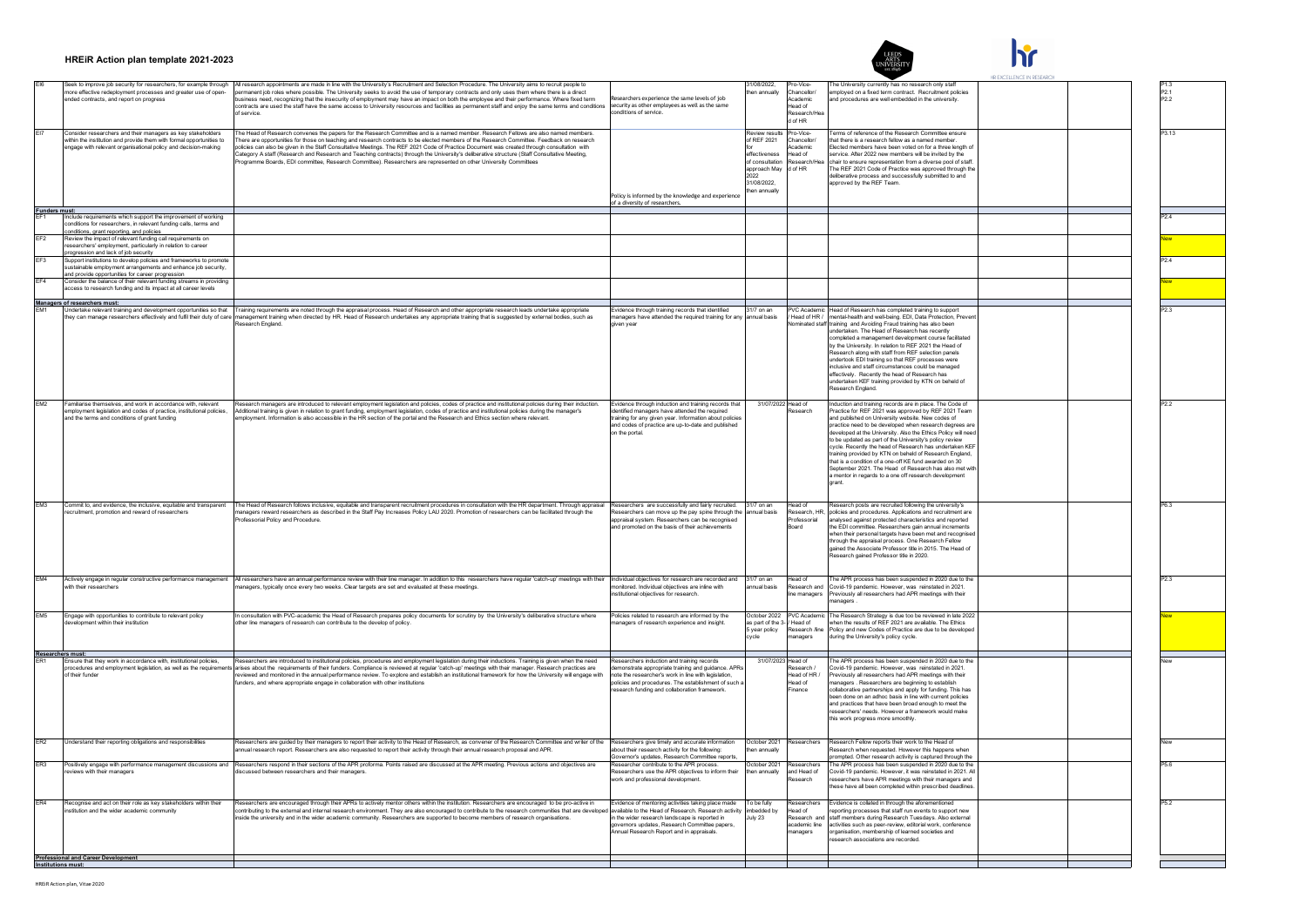

 $\mathbf{h}$ 

|                      |                                                                                                                                                                                                      |                                                                                                                                                                                                                                                                                                                                                                                                                                                                                                                                                                                                                                               |                                                                                                                                                                                                                                                        |                                                                                                       |                                                                               |                                                                                                                                                                                                                                                                                                                                                                                                                                                                                                                                                                                                                                                                       | HR EXCELLENCE IN RESEARCH |                                     |
|----------------------|------------------------------------------------------------------------------------------------------------------------------------------------------------------------------------------------------|-----------------------------------------------------------------------------------------------------------------------------------------------------------------------------------------------------------------------------------------------------------------------------------------------------------------------------------------------------------------------------------------------------------------------------------------------------------------------------------------------------------------------------------------------------------------------------------------------------------------------------------------------|--------------------------------------------------------------------------------------------------------------------------------------------------------------------------------------------------------------------------------------------------------|-------------------------------------------------------------------------------------------------------|-------------------------------------------------------------------------------|-----------------------------------------------------------------------------------------------------------------------------------------------------------------------------------------------------------------------------------------------------------------------------------------------------------------------------------------------------------------------------------------------------------------------------------------------------------------------------------------------------------------------------------------------------------------------------------------------------------------------------------------------------------------------|---------------------------|-------------------------------------|
|                      | Seek to improve job security for researchers, for example through<br>nore effective redeployment processes and greater use of open-<br>ded contracts, and report on progress                         | All research appointments are made in line with the University's Recruitment and Selection Procedure. The University aims to recruit people to<br>permanent job roles where possible. The University seeks to avoid the use of temporary contracts and only uses them where there is a direct<br>business need, recognizing that the insecurity of employment may have an impact on<br>contracts are used the staff have the same access to University resources and facilities as permanent staff and enjoy the same terms and conditions<br>of service.                                                                                     | Researchers experience the same levels of job<br>security as other employees as well as the same<br>ditions of service.                                                                                                                                | 1/08/2022<br>en annually                                                                              | ro-Vice<br>Chancellor/<br>cademic<br>lead of<br>osoarch/He                    | The University currently has no research only staff<br>mployed on a fixed term contract. Recruitment policies<br>nd procedures are well embedded in the university.                                                                                                                                                                                                                                                                                                                                                                                                                                                                                                   |                           | P <sub>21</sub><br>P <sub>2.2</sub> |
|                      | Consider researchers and their managers as key stakeholders<br>within the institution and provide them with formal opportunities to<br>ngage with relevant organisational policy and decision-making | The Head of Research convenes the papers for the Research Committee and is a named member. Research Fellows are also named members.<br>.<br>There are opportunities for those on teaching and research contracts to be elected members of the Research Committee. Feedback on research<br>policies can also be given in the Staff Consultative Meetings. The REF 2021 Code<br>Category A staff (Research and Research and Teaching contracts) through the University's deliberative structure (Staff Consultative Meeting,<br>rogramme Boards, EDI committee, Research Committee). Researchers are represented on other University Committees |                                                                                                                                                                                                                                                        | eview result<br>of REF 2021<br>effectiveness<br>of consultatio<br>approach May<br>2022<br>31/08/2022, | d of HR<br>ro-Vice<br>Chancellor/<br>cademic<br>ead of<br>esearch/<br>d of HR | erms of reference of the Research Committee ensure<br>hat there is a research fellow as a named member<br>lected members have been voted on for a three length of<br>rvice. After 2022 new members will be invited by the<br>hair to ensure representation from a diverse pool of staff.<br>The REF 2021 Code of Practice was approved through the<br>deliberative process and successfully submitted to and<br>pproved by the REF Team.                                                                                                                                                                                                                              |                           | P3.13                               |
|                      |                                                                                                                                                                                                      |                                                                                                                                                                                                                                                                                                                                                                                                                                                                                                                                                                                                                                               | olicy is informed by the knowledge and experienc<br>of a diversity of researchers.                                                                                                                                                                     | en annually                                                                                           |                                                                               |                                                                                                                                                                                                                                                                                                                                                                                                                                                                                                                                                                                                                                                                       |                           |                                     |
| <b>Funders must:</b> | Include requirements which support the improvement of working                                                                                                                                        |                                                                                                                                                                                                                                                                                                                                                                                                                                                                                                                                                                                                                                               |                                                                                                                                                                                                                                                        |                                                                                                       |                                                                               |                                                                                                                                                                                                                                                                                                                                                                                                                                                                                                                                                                                                                                                                       |                           |                                     |
| EF <sub>2</sub>      | onditions for researchers, in relevant funding calls, terms and<br>conditions, grant reporting, and policies<br>Review the impact of relevant funding call requirements on                           |                                                                                                                                                                                                                                                                                                                                                                                                                                                                                                                                                                                                                                               |                                                                                                                                                                                                                                                        |                                                                                                       |                                                                               |                                                                                                                                                                                                                                                                                                                                                                                                                                                                                                                                                                                                                                                                       |                           |                                     |
| EF <sub>3</sub>      | esearchers' employment, particularly in relation to career<br>progression and lack of job security<br>Support institutions to develop policies and frameworks to promote                             |                                                                                                                                                                                                                                                                                                                                                                                                                                                                                                                                                                                                                                               |                                                                                                                                                                                                                                                        |                                                                                                       |                                                                               |                                                                                                                                                                                                                                                                                                                                                                                                                                                                                                                                                                                                                                                                       |                           |                                     |
| EF4                  | sustainable employment arrangements and enhance iob security.<br>and provide opportunities for career progression<br>Consider the balance of their relevant funding streams in providing             |                                                                                                                                                                                                                                                                                                                                                                                                                                                                                                                                                                                                                                               |                                                                                                                                                                                                                                                        |                                                                                                       |                                                                               |                                                                                                                                                                                                                                                                                                                                                                                                                                                                                                                                                                                                                                                                       |                           |                                     |
|                      | access to research funding and its impact at all career levels                                                                                                                                       |                                                                                                                                                                                                                                                                                                                                                                                                                                                                                                                                                                                                                                               |                                                                                                                                                                                                                                                        |                                                                                                       |                                                                               |                                                                                                                                                                                                                                                                                                                                                                                                                                                                                                                                                                                                                                                                       |                           |                                     |
|                      | Managers of researchers must:<br>Undertake relevant training and development opportunities so that                                                                                                   | Training requirements are noted through the appraisal process. Head of Research and other appropriate research leads undertake appropriate                                                                                                                                                                                                                                                                                                                                                                                                                                                                                                    | vidence through training records that identified                                                                                                                                                                                                       | 1/7 on an                                                                                             | <b>VC Academic</b>                                                            | Head of Research has completed training to support                                                                                                                                                                                                                                                                                                                                                                                                                                                                                                                                                                                                                    |                           |                                     |
|                      |                                                                                                                                                                                                      | hey can manage researchers effectively and fulfil their duty of care management training when directed by HR. Head of Research undertakes any appropriate training that is suggested by external bodies, such as<br>Research England                                                                                                                                                                                                                                                                                                                                                                                                          | anagers have attended the required training for any<br>en year                                                                                                                                                                                         | nual basis                                                                                            | lead of HR<br>minated staff                                                   | Intal-health and well-being. EDI, Data Protection, Pre<br>raining and Avoiding Fraud training has also been<br>undertaken. The Head of Research has recently<br>ompleted a management development course facilitated<br>by the University. In relation to REF 2021 the Head of<br>Research along with staff from RFF selection panels<br>undertook EDI training so that REF processes were<br>inclusive and staff circumstances could be managed<br>effectively. Recently the head of Research has<br>undertaken KEF training provided by KTN on beheld of<br>esearch England.                                                                                        |                           |                                     |
| EM2                  | Familiarise themselves, and work in accordance with, relevant<br>mployment legislation and codes of practice, institutional policies,<br>and the terms and conditions of grant funding               | Research managers are introduced to relevant employment legislation and policies, codes of practice and institutional policies during their induction.<br>Additional training is given in relation to grant funding, employment legislation, codes of practice and institutional policies during the manager's<br>employment. Information is also accessible in the HR section of the portal and the Research and Ethics section where relevant.                                                                                                                                                                                              | Evidence through induction and training records that<br>entified managers have attended the required<br>training for any given year. Information about policies<br>and codes of practice are up-to-date and published<br>on the portal.                | 31/07/2022 Head of                                                                                    | esearch                                                                       | Induction and training records are in place. The Code of<br>Practice for REF 2021 was approved by REF 2021 Team<br>and published on University website. New codes of<br>practice need to be developed when research degrees are<br>developed at the University. Also the Ethics Policy will need<br>to be updated as part of the University's policy review<br>cycle. Recently the head of Research has undertaken KEF<br>raining provided by KTN on beheld of Research England.<br>that is a condition of a one-off KE fund awarded on 30<br>September 2021. The Head of Research has also met wit<br>a mentor in regards to a one off research development<br>arant |                           | P <sub>2.2</sub>                    |
| EM <sub>3</sub>      | Commit to, and evidence, the inclusive, equitable and transparent<br>ecruitment, promotion and reward of researchers                                                                                 | The Head of Research follows inclusive, equitable and transparent recruitment procedures in consultation with the HR department. Through appraisal<br>nanagers reward researchers as described in the Staff Pay Increases Policy LAU 2020. Promotion of researchers can be facilitated through the<br>rofessorial Policy and Procedure.                                                                                                                                                                                                                                                                                                       | Researchers are successfully and fairly recruited.<br>Researchers can move up the pay spine through the annual basis<br>appraisal system. Researchers can be recognised<br>d promoted on the basis of their achievements                               | 31/7 on ar                                                                                            | lead of<br>lesearch HR<br>rofessorial                                         | Research posts are recruited following the university's<br>policies and procedures. Applications and recruitment are<br>analysed against protected characteristics and reported<br>he EDI committee. Researchers gain annual increments<br>when their personal targets have been met and recognise<br>through the appraisal process. One Research Fellow<br>gained the Associate Professor title in 2015. The Head of<br>Research gained Professor title in 2020.                                                                                                                                                                                                     |                           | P63                                 |
| EM4                  | Actively engage in regular constructive performance management<br>with their researchers                                                                                                             | All researchers have an annual performance review with their line manager. In addition to this researchers have regular 'catch-up' meetings with their<br>nanagers, typically once every two weeks. Clear targets are set and evaluated at these meetings.                                                                                                                                                                                                                                                                                                                                                                                    | ndividual objectives for research are recorded and<br>onitored, Individual obiectives are inline with<br>titutional objectives for research                                                                                                            | 31/7 on an<br>nual basis                                                                              | lead of<br>tesearch and<br>e managers                                         | he APR process has been suspended in 2020 due to the<br>Covid-19 pandemic, However, was reinstated in 2021.<br>reviously all researchers had APR meetings with their<br>nagers                                                                                                                                                                                                                                                                                                                                                                                                                                                                                        |                           | P <sub>2.3</sub>                    |
| EM <sub>5</sub>      | Engage with opportunities to contribute to relevant policy<br>lopment within their instituti                                                                                                         | In consultation with PVC-academic the Head of Research prepares policy documents for scrutiny by the University's deliberative structure where<br>ther line managers of research can contribute to the develop of policy                                                                                                                                                                                                                                                                                                                                                                                                                      | Policies related to research are informed by the<br>nagers of research experience and insight.                                                                                                                                                         | October 2022<br>as part of the 3<br>5 year policy<br>alov:                                            | <b>PVC Academic</b><br>lead of<br>Research /line<br>anagers                   | The Research Strategy is due too be reviewed in late 2022<br>hen the results of REF 2021 are available. The Ethics<br>Policy and new Codes of Practice are due to be developed<br>during the University's policy cycle.                                                                                                                                                                                                                                                                                                                                                                                                                                               |                           |                                     |
| Researchers must:    | Ensure that they work in accordance with, institutional policies.                                                                                                                                    | Researchers are introduced to institutional policies, procedures and employment legislation during their inductions. Training is given when the need                                                                                                                                                                                                                                                                                                                                                                                                                                                                                          | esearchers induction and training records                                                                                                                                                                                                              | 31/07/2023 Head of                                                                                    |                                                                               | he APR process has been suspended in 2020 due to the                                                                                                                                                                                                                                                                                                                                                                                                                                                                                                                                                                                                                  |                           |                                     |
|                      | rocedures and employment legislation, as well as the requiren<br>of their funder                                                                                                                     | arises about the requirements of their funders. Compliance is reviewed at regular 'catch-up' meetings with their manager. Research practices are<br>eviewed and monitored in the annual performance review. To explore and establish an institutional framework for how the University will engage with<br>funders, and where appropriate engage in collaboration with other institutions                                                                                                                                                                                                                                                     | monstrate appropriate training and guidance. APRs<br>note the researcher's work in line with legislation,<br>licies and procedures. The establishment of such a<br>search funding and collaboration framework.                                         |                                                                                                       | search<br>lead of HR /<br>lead of<br>inance                                   | ovid-19 pandemic. However, was reinstated in 2021<br>eviously all researchers had APR meetings with their<br>anagers. Researchers are beginning to establish<br>ollaborative partnerships and apply for funding. This has<br>en done on an adhoc basis in line with current policies<br>and practices that have been broad enough to meet the<br>esearchers' needs. However a framework would make<br>is work progress more smoothly.                                                                                                                                                                                                                                 |                           |                                     |
| ER <sub>2</sub>      | Understand their reporting obligations and responsibilities                                                                                                                                          | Researchers are guided by their managers to report their activity to the Head of Research, as convener of the Research Committee and writer of the<br>nnual research report. Researchers are also requested to report their activity through their annual research proposal and APR.                                                                                                                                                                                                                                                                                                                                                          | Researchers give timely and accurate information<br>bout their research activity for the following:<br>overnor's updates. Research Committee reports                                                                                                   | October 2021<br>an annually                                                                           | tesearchers                                                                   | Research Fellow reports their work to the Head of<br>tesearch when requested. However this happens when<br>ompted. Other research activity is captured through the                                                                                                                                                                                                                                                                                                                                                                                                                                                                                                    |                           |                                     |
| ER <sub>3</sub>      | views with their managers                                                                                                                                                                            | Positively engage with performance management discussions and Researchers respond in their sections of the APR proforma. Points raised are discussed at the APR meeting. Previous actions and objectives are<br>iscussed between researchers and their managers                                                                                                                                                                                                                                                                                                                                                                               | Researcher contribute to the APR process.<br>esearchers use the APR objectives to inform their<br>work and professional development.                                                                                                                   | October 2021<br>en annually                                                                           | tesearchers<br>and Head of<br>search                                          | The APR process has been suspended in 2020 due to the<br>Covid-19 pandemic. However, it was reinstated in 2021. All<br>searchers have APR meetings with their managers and<br>se have all been completed within prescribed deadliner                                                                                                                                                                                                                                                                                                                                                                                                                                  |                           | P5.6                                |
| ER4                  | Recognise and act on their role as key stakeholders within their<br>istitution and the wider academic community                                                                                      | Researchers are encouraged through their APRs to actively mentor others within the institution. Researchers are encouraged to be pro-active in<br>contributing to the external and internal research environment. They are also encouraged to contribute to the research communities that are develope<br>nside the university and in the wider academic community. Researchers are supported to become members of research organisations                                                                                                                                                                                                     | vidence of mentoring activities taking place made<br>available to the Head of Research, Research activity<br>in the wider research landscape is reported in<br>vernors updates, Research Committee papers,<br>nnual Research Report and in appraisals. | o be fully<br>hedded by<br>July 23                                                                    | lead of<br>esearch and<br>cademic line<br>anagers                             | vidence is collated in through the aforementioned<br>eporting processes that staff run events to support new<br>taff members during Research Tuesdays. Also external<br>activities such as peer-review, editorial work, conference<br>proanisation, membership of learned societies and<br>search associations are recorded.                                                                                                                                                                                                                                                                                                                                          |                           | P5.2                                |
|                      | <b>Professional and Career Development</b>                                                                                                                                                           |                                                                                                                                                                                                                                                                                                                                                                                                                                                                                                                                                                                                                                               |                                                                                                                                                                                                                                                        |                                                                                                       |                                                                               |                                                                                                                                                                                                                                                                                                                                                                                                                                                                                                                                                                                                                                                                       |                           |                                     |
|                      |                                                                                                                                                                                                      |                                                                                                                                                                                                                                                                                                                                                                                                                                                                                                                                                                                                                                               |                                                                                                                                                                                                                                                        |                                                                                                       |                                                                               |                                                                                                                                                                                                                                                                                                                                                                                                                                                                                                                                                                                                                                                                       |                           |                                     |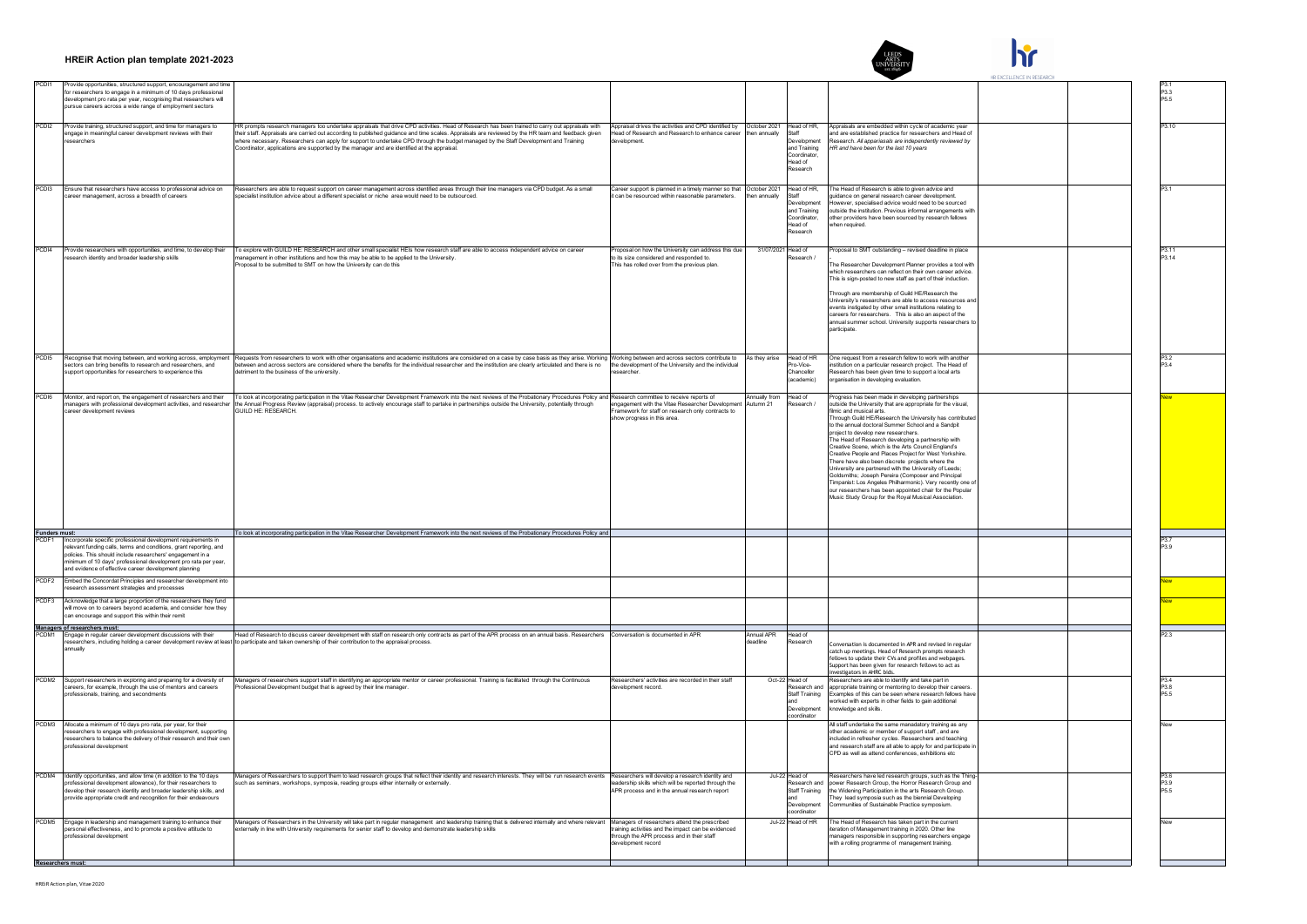

 $\mathbf{h}$ 

|                   |                                                                                                                                                                                                                                                                                                                              |                                                                                                                                                                                                                                                                                                                                                                                                                                                                                                                                              |                                                                                                                                                                        |                            |                                                                                                   |                                                                                                                                                                                                                                                                                                                                                                                                                                                                                                                                                                                                                                                                                                                                                                                                                                | HR EXCELLENCE IN RESEARCH |                                  |
|-------------------|------------------------------------------------------------------------------------------------------------------------------------------------------------------------------------------------------------------------------------------------------------------------------------------------------------------------------|----------------------------------------------------------------------------------------------------------------------------------------------------------------------------------------------------------------------------------------------------------------------------------------------------------------------------------------------------------------------------------------------------------------------------------------------------------------------------------------------------------------------------------------------|------------------------------------------------------------------------------------------------------------------------------------------------------------------------|----------------------------|---------------------------------------------------------------------------------------------------|--------------------------------------------------------------------------------------------------------------------------------------------------------------------------------------------------------------------------------------------------------------------------------------------------------------------------------------------------------------------------------------------------------------------------------------------------------------------------------------------------------------------------------------------------------------------------------------------------------------------------------------------------------------------------------------------------------------------------------------------------------------------------------------------------------------------------------|---------------------------|----------------------------------|
| PCD <sub>11</sub> | Provide opportunities, structured support, encouragement and time<br>for researchers to engage in a minimum of 10 days professional<br>development pro rata per year, recognising that researchers will<br>ursue careers across a wide range of employment sectors                                                           |                                                                                                                                                                                                                                                                                                                                                                                                                                                                                                                                              |                                                                                                                                                                        |                            |                                                                                                   |                                                                                                                                                                                                                                                                                                                                                                                                                                                                                                                                                                                                                                                                                                                                                                                                                                |                           | P3 3<br>P5.5                     |
| PCD <sub>12</sub> | Provide training, structured support, and time for managers to<br>ingage in meaningful career development reviews with their<br>searchers                                                                                                                                                                                    | HR prompts research managers too undertake appraisals that drive CPD activities. Head of Research has been trained to carry out appraisals with<br>their staff. Appraisals are carried out according to published guidance and time scales. Appraisals are reviewed by the HR team and feedback given<br>where necessary. Researchers can apply for support to undertake CPD through the budget managed by the Staff Development and Training<br>Coordinator, applications are supported by the manager and are identified at the appraisal. | Appraisal drives the activities and CPD identified by   October 2021<br>lead of Research and Research to enhance career<br>evelopment                                  | hen annually               | Head of HR<br>Staff<br>Development<br>and Training<br>Coordinator.<br>Head of<br>Research         | Appraisals are embedded within cycle of academic year<br>and are established practice for researchers and Head of<br>search. All appariasals are independently reviewed by<br>HR and have been for the last 10 years                                                                                                                                                                                                                                                                                                                                                                                                                                                                                                                                                                                                           |                           | P3 10                            |
| PCD <sub>13</sub> | Ensure that researchers have access to professional advice on<br>areer management, across a breadth of careers                                                                                                                                                                                                               | Researchers are able to request support on career management across identified areas through their line managers via CPD budget. As a small<br>pecialist institution advice about a different specialist or niche area would need to be outsourced.                                                                                                                                                                                                                                                                                          | Career support is planned in a timely manner so that October 2021<br>can be resourced within reasonable parameters.                                                    | then annually              | Head of HR.<br>Staff<br>Development<br>and Training<br>Coordinator,<br>Head of<br><b>Research</b> | The Head of Research is able to given advice and<br>uidance on general research career development<br>beginne ed of heen blunw epivha healeigene hewewol<br>outside the institution. Previous informal arrangements with<br>other providers have been sourced by research fellows<br>when required.                                                                                                                                                                                                                                                                                                                                                                                                                                                                                                                            |                           |                                  |
| PCD <sub>14</sub> | Provide researchers with opportunities, and time, to develop their<br>search identity and broader leadership skills                                                                                                                                                                                                          | To explore with GUILD HE: RESEARCH and other small specialist HEIs how research staff are able to access independent advice on career<br>anagement in other institutions and how this may be able to be applied to the University<br>roposal to be submitted to SMT on how the University can do this                                                                                                                                                                                                                                        | Proposal on how the University can address this due<br>o its size considered and responded to.<br>This has rolled over from the previous plan.                         | 31/07/2021 Head of         | search /                                                                                          | Proposal to SMT outstanding - revised deadline in place<br>The Researcher Development Planner provides a tool with<br>which researchers can reflect on their own career advice.<br>This is sign-posted to new staff as part of their induction.<br>Through are membership of Guild HE/Research the<br>University's researchers are able to access resources and<br>events instigated by other small institutions relating to<br>careers for researchers. This is also an aspect of the<br>annual summer school. University supports researchers to<br>participate.                                                                                                                                                                                                                                                             |                           | P3.11<br>P3.14                   |
| PCD <sub>15</sub> | Recognise that moving between, and working across, employmer<br>ectors can bring benefits to research and researchers, and<br>upport opportunities for researchers to experience this                                                                                                                                        | Requests from researchers to work with other organisations and academic institutions are considered on a case by case basis as they arise. Working Working between and across sectors contribute to<br>between and across sectors are considered where the benefits for the individual researcher and the institution are clearly articulated and there is no<br>etriment to the business of the university.                                                                                                                                 | the development of the University and the individual<br>searcher.                                                                                                      | As they arise              | Head of HR<br>Pro-Vice-<br>Chancellor<br>academic)                                                | One request from a research fellow to work with another<br>institution on a particular research project. The Head of<br>Research has been given time to support a local arts<br>organisation in developing evaluation                                                                                                                                                                                                                                                                                                                                                                                                                                                                                                                                                                                                          |                           | P3.2<br>P34                      |
| PCD <sub>16</sub> | Monitor, and report on, the engagement of researchers and their<br>nanagers with professional development activities, and researche<br>areer development reviews                                                                                                                                                             | To look at incorporating participation in the Vitae Researcher Development Framework into the next reviews of the Probationary Procedures Policy and Research committee to receive reports of<br>the Annual Progress Review (appraisal) process, to actively encourage staff to partake in partnerships outside the University, potentially through<br>GUILD HE: RESEARCH.                                                                                                                                                                   | engagement with the Vitae Researcher Development<br>ramework for staff on research only contracts to<br>how progress in this area.                                     | Annually from<br>Autumn 21 | Head of<br>esearch /                                                                              | Progress has been made in developing partnerships<br>outside the University that are appropriate for the visual.<br>mic and musical arts.<br>Through Guild HE/Research the University has contribute<br>to the annual doctoral Summer School and a Sandpit<br>project to develop new researchers.<br>The Head of Research developing a partnership with<br>Creative Scene, which is the Arts Council England's<br>Creative People and Places Project for West Yorkshire.<br>There have also been discrete projects where the<br>University are partnered with the University of Leeds;<br>Goldsmiths: Joseph Pereira (Composer and Principal<br>Timpanist: Los Angeles Philharmonic). Very recently one of<br>our researchers has been appointed chair for the Popular<br>Music Study Group for the Roval Musical Association. |                           |                                  |
| Funders must:     |                                                                                                                                                                                                                                                                                                                              | To look at incorporating participation in the Vitae Researcher Development Framework into the next reviews of the Probationary Procedures Policy and                                                                                                                                                                                                                                                                                                                                                                                         |                                                                                                                                                                        |                            |                                                                                                   |                                                                                                                                                                                                                                                                                                                                                                                                                                                                                                                                                                                                                                                                                                                                                                                                                                |                           |                                  |
| PCDF <sub>1</sub> | Incorporate specific professional development requirements in<br>relevant funding calls, terms and conditions, grant reporting, and<br>policies. This should include researchers' engagement in a<br>minimum of 10 days' professional development pro rata per year<br>and evidence of effective career development planning |                                                                                                                                                                                                                                                                                                                                                                                                                                                                                                                                              |                                                                                                                                                                        |                            |                                                                                                   |                                                                                                                                                                                                                                                                                                                                                                                                                                                                                                                                                                                                                                                                                                                                                                                                                                |                           | P37<br>P3 9                      |
| PCDF <sub>2</sub> | Embed the Concordat Principles and researcher development into<br>esearch assessment strategies and processes                                                                                                                                                                                                                |                                                                                                                                                                                                                                                                                                                                                                                                                                                                                                                                              |                                                                                                                                                                        |                            |                                                                                                   |                                                                                                                                                                                                                                                                                                                                                                                                                                                                                                                                                                                                                                                                                                                                                                                                                                |                           |                                  |
| PCDF3             | Acknowledge that a large proportion of the researchers they fund<br>will move on to careers bevond academia, and consider how they<br>can encourage and support this within their remit                                                                                                                                      |                                                                                                                                                                                                                                                                                                                                                                                                                                                                                                                                              |                                                                                                                                                                        |                            |                                                                                                   |                                                                                                                                                                                                                                                                                                                                                                                                                                                                                                                                                                                                                                                                                                                                                                                                                                |                           |                                  |
| PCDM <sup>*</sup> | Managers of researchers must:                                                                                                                                                                                                                                                                                                | Head of Research to discuss career development with staff on research only contracts as part of the APR process on an annual basis. Researchers Conversation is documented in APR                                                                                                                                                                                                                                                                                                                                                            |                                                                                                                                                                        | Annual APR                 | Head of                                                                                           |                                                                                                                                                                                                                                                                                                                                                                                                                                                                                                                                                                                                                                                                                                                                                                                                                                |                           |                                  |
|                   | Engage in regular career development discussions with their<br>nually                                                                                                                                                                                                                                                        | esearchers, including holding a career development review at least to participate and taken ownership of their contribution to the appraisal process.                                                                                                                                                                                                                                                                                                                                                                                        |                                                                                                                                                                        | eadline                    | search                                                                                            | nversation is documented in APR and revised in regular<br>catch up meetings. Head of Research prompts research<br>fellows to undate their CVs and profiles and webpages.<br>Support has been given for research fellows to act as<br>estigators in AHRC bids.                                                                                                                                                                                                                                                                                                                                                                                                                                                                                                                                                                  |                           |                                  |
|                   | PCDM2 Support researchers in exploring and preparing for a diversity of<br>careers, for example, through the use of mentors and careers<br>ofessionals, training, and secondments                                                                                                                                            | Managers of researchers support staff in identifying an appropriate mentor or career professional. Training is facilitated through the Continuous<br>rofessional Development budget that is agreed by their line manager.                                                                                                                                                                                                                                                                                                                    | Researchers' activities are recorded in their staff<br>evelopment record.                                                                                              |                            | Oct-22 Head of<br>Research and<br>Staff Training<br>and<br>Development<br>oordinator              | Researchers are able to identify and take part in<br>appropriate training or mentoring to develop their careers.<br>Examples of this can be seen where research fellows have<br>orked with experts in other fields to gain additional<br>nowledge and skills.                                                                                                                                                                                                                                                                                                                                                                                                                                                                                                                                                                  |                           | P34<br>P3.8<br>P <sub>5.5</sub>  |
| PCDM3<br>PCDM4    | Allocate a minimum of 10 days pro rata, per year, for their<br>esearchers to engage with professional development, supporting<br>esearchers to balance the delivery of their research and their ow<br>professional development                                                                                               |                                                                                                                                                                                                                                                                                                                                                                                                                                                                                                                                              |                                                                                                                                                                        |                            |                                                                                                   | All staff undertake the same manadatory training as any<br>other academic or member of support staff, and are<br>included in refresher cycles. Researchers and teaching<br>and research staff are all able to apply for and participate in<br>CPD as well as attend conferences, exhibitions etc.                                                                                                                                                                                                                                                                                                                                                                                                                                                                                                                              |                           |                                  |
|                   | Identify opportunities, and allow time (in addition to the 10 days<br>mofessional development allowance) for their researchers to<br>develop their research identity and broader leadership skills, and<br>ovide appropriate credit and recognition for their endeavours                                                     | Managers of Researchers to support them to lead research groups that reflect their identity and research interests. They will be run research events Researchers will develop a research identity and<br>such as seminars, workshops, symposia, reading groups either internally or externally                                                                                                                                                                                                                                               | eadership skills which will be reported through the<br>APR process and in the annual research report                                                                   |                            | Jul-22 Head of<br>Research and<br>Staff Training<br>Development<br>coordinator                    | tesearchers have led research groups, such as the Thing-<br>nower Research Group, the Horror Research Group and<br>the Widening Participation in the arts Research Group.<br>They lead symposia such as the biennial Developing<br>Communities of Sustainable Practice symposium                                                                                                                                                                                                                                                                                                                                                                                                                                                                                                                                               |                           | P3.6<br>P3 9<br>P <sub>5.5</sub> |
| PCDM5             | Engage in leadership and management training to enhance their<br>ersonal effectiveness, and to promote a positive attitude to<br>professional development<br><b>Researchers must:</b>                                                                                                                                        | Managers of Researchers in the University will take part in regular management and leadership training that is delivered internally and where relevant<br>ternally in line with University requirements for senior staff to develop and demonstrate leadership skills                                                                                                                                                                                                                                                                        | Managers of researchers attend the prescribed<br>raining activities and the impact can be evidenced<br>through the APR process and in their staff<br>evelopment record |                            | Jul-22 Head of HR                                                                                 | The Head of Research has taken part in the current<br>ration of Management training in 2020. Other line<br>managers responsible in supporting researchers engage<br>with a rolling programme of management training.                                                                                                                                                                                                                                                                                                                                                                                                                                                                                                                                                                                                           |                           |                                  |
|                   |                                                                                                                                                                                                                                                                                                                              |                                                                                                                                                                                                                                                                                                                                                                                                                                                                                                                                              |                                                                                                                                                                        |                            |                                                                                                   |                                                                                                                                                                                                                                                                                                                                                                                                                                                                                                                                                                                                                                                                                                                                                                                                                                |                           |                                  |